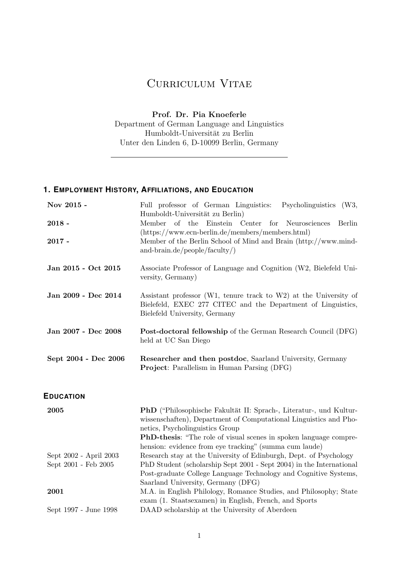## CURRICULUM VITAE

**Prof. Dr. Pia Knoeferle**

Department of German Language and Linguistics Humboldt-Universität zu Berlin Unter den Linden 6, D-10099 Berlin, Germany

## **1. EMPLOYMENT HISTORY, AFFILIATIONS, AND EDUCATION**

| Nov 2015 -                                     | Full professor of German Linguistics:<br>Psycholinguistics (W3,                                                                                                                                                                                                         |  |  |
|------------------------------------------------|-------------------------------------------------------------------------------------------------------------------------------------------------------------------------------------------------------------------------------------------------------------------------|--|--|
| $2018 -$                                       | Humboldt-Universität zu Berlin)<br>Member of the Einstein<br>Center<br>for Neurosciences<br>Berlin                                                                                                                                                                      |  |  |
|                                                | (https://www.ecn-berlin.de/members/members.html)                                                                                                                                                                                                                        |  |  |
| $2017 -$                                       | Member of the Berlin School of Mind and Brain (http://www.mind-<br>and-brain.de/people/faculty/ $)$                                                                                                                                                                     |  |  |
| Jan 2015 - Oct 2015                            | Associate Professor of Language and Cognition (W2, Bielefeld Uni-<br>versity, Germany)                                                                                                                                                                                  |  |  |
| Jan 2009 - Dec 2014                            | Assistant professor (W1, tenure track to W2) at the University of<br>Bielefeld, EXEC 277 CITEC and the Department of Linguistics,<br>Bielefeld University, Germany                                                                                                      |  |  |
| Jan 2007 - Dec 2008                            | <b>Post-doctoral fellowship</b> of the German Research Council (DFG)<br>held at UC San Diego                                                                                                                                                                            |  |  |
| Sept 2004 - Dec 2006                           | Researcher and then postdoc, Saarland University, Germany<br><b>Project:</b> Parallelism in Human Parsing (DFG)                                                                                                                                                         |  |  |
| <b>EDUCATION</b>                               |                                                                                                                                                                                                                                                                         |  |  |
| 2005                                           | PhD ("Philosophische Fakultät II: Sprach-, Literatur-, und Kultur-<br>wissenschaften), Department of Computational Linguistics and Pho-<br>netics, Psycholinguistics Group<br><b>PhD-thesis:</b> "The role of visual scenes in spoken language compre-                  |  |  |
| Sept 2002 - April 2003<br>Sept 2001 - Feb 2005 | hension: evidence from eye tracking" (summa cum laude)<br>Research stay at the University of Edinburgh, Dept. of Psychology<br>PhD Student (scholarship Sept 2001 - Sept 2004) in the International<br>Post-graduate College Language Technology and Cognitive Systems, |  |  |
| 2001                                           | Saarland University, Germany (DFG)<br>M.A. in English Philology, Romance Studies, and Philosophy; State                                                                                                                                                                 |  |  |
|                                                | exam (1. Staatsexamen) in English, French, and Sports                                                                                                                                                                                                                   |  |  |
| Sept 1997 - June 1998                          | DAAD scholarship at the University of Aberdeen                                                                                                                                                                                                                          |  |  |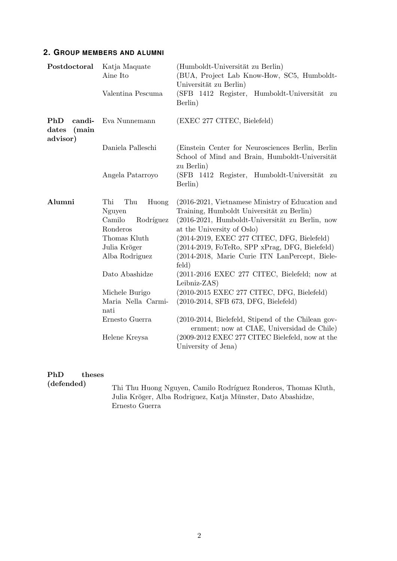## **2. GROUP MEMBERS AND ALUMNI**

| Postdoctoral                                | Katja Maquate<br>Aine Ito<br>Valentina Pescuma                                                                                       | (Humboldt-Universität zu Berlin)<br>(BUA, Project Lab Know-How, SC5, Humboldt-<br>Universität zu Berlin)<br>(SFB 1412 Register, Humboldt-Universität<br>zu<br>Berlin)                                                                                                                                                                                                                                                                         |
|---------------------------------------------|--------------------------------------------------------------------------------------------------------------------------------------|-----------------------------------------------------------------------------------------------------------------------------------------------------------------------------------------------------------------------------------------------------------------------------------------------------------------------------------------------------------------------------------------------------------------------------------------------|
| PhD<br>candi-<br>dates<br>(main<br>advisor) | Eva Nunnemann                                                                                                                        | (EXEC 277 CITEC, Bielefeld)                                                                                                                                                                                                                                                                                                                                                                                                                   |
|                                             | Daniela Palleschi                                                                                                                    | (Einstein Center for Neurosciences Berlin, Berlin)<br>School of Mind and Brain, Humboldt-Universität<br>zu Berlin)                                                                                                                                                                                                                                                                                                                            |
|                                             | Angela Patarroyo                                                                                                                     | (SFB 1412 Register, Humboldt-Universität<br>zu<br>Berlin)                                                                                                                                                                                                                                                                                                                                                                                     |
| Alumni                                      | Thi<br>Thu<br>Huong<br>Nguyen<br>Camilo<br>Rodríguez<br>Ronderos<br>Thomas Kluth<br>Julia Kröger<br>Alba Rodriguez<br>Dato Abashidze | (2016-2021, Vietnamese Ministry of Education and<br>Training, Humboldt Universität zu Berlin)<br>(2016-2021, Humboldt-Universität zu Berlin, now<br>at the University of Oslo)<br>(2014-2019, EXEC 277 CITEC, DFG, Bielefeld)<br>(2014-2019, FoTeRo, SPP xPrag, DFG, Bielefeld)<br>(2014-2018, Marie Curie ITN LanPercept, Biele-<br>feld)<br>$(2011-2016 \text{ EXEC } 277 \text{ CITEC}, \text{ Bielefeld}; \text{now at }$<br>Leibniz-ZAS) |
|                                             | Michele Burigo<br>Maria Nella Carmi-<br>nati                                                                                         | $(2010-2015$ EXEC 277 CITEC, DFG, Bielefeld)<br>$(2010-2014, SFB 673, DFG, Bielefeld)$                                                                                                                                                                                                                                                                                                                                                        |
|                                             | Ernesto Guerra                                                                                                                       | $(2010-2014, Bielefeld, Stipend of the Chilean gov-$<br>ernment; now at CIAE, Universidad de Chile)                                                                                                                                                                                                                                                                                                                                           |
|                                             | Helene Kreysa                                                                                                                        | (2009-2012 EXEC 277 CITEC Bielefeld, now at the<br>University of Jena)                                                                                                                                                                                                                                                                                                                                                                        |

# PhD theses (defended)

Thi Thu Huong Nguyen, Camilo Rodríguez Ronderos, Thomas Kluth, Julia Kröger, Alba Rodriguez, Katja Münster, Dato Abashidze, Ernesto Guerra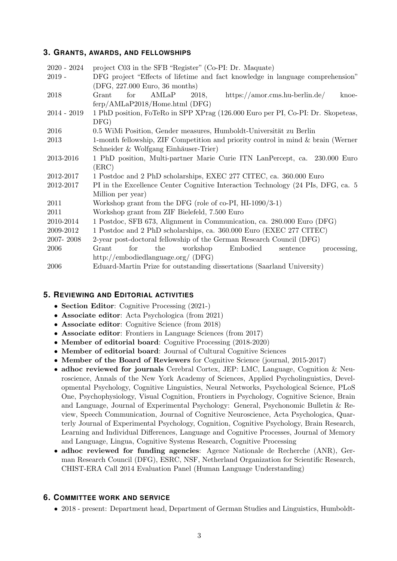## **3. GRANTS, AWARDS, AND FELLOWSHIPS**

| $2020 - 2024$ | project C03 in the SFB "Register" (Co-PI: Dr. Maquate)                              |  |  |
|---------------|-------------------------------------------------------------------------------------|--|--|
| $2019 -$      | DFG project "Effects of lifetime and fact knowledge in language comprehension"      |  |  |
|               | (DFG, 227.000 Euro, 36 months)                                                      |  |  |
| 2018          | AMLaP<br>$\text{https://amor.cms.hu-berlin.de/}$<br>for<br>2018,<br>Grant<br>knoe-  |  |  |
|               | $ferp/AMLaP2018/Home.html$ (DFG)                                                    |  |  |
| $2014 - 2019$ | 1 PhD position, FoTeRo in SPP XPrag (126.000 Euro per PI, Co-PI: Dr. Skopeteas,     |  |  |
|               | DFG)                                                                                |  |  |
| 2016          | 0.5 WiMi Position, Gender measures, Humboldt-Universität zu Berlin                  |  |  |
| 2013          | 1-month fellowship, ZIF Competition and priority control in mind $\&$ brain (Werner |  |  |
|               | Schneider & Wolfgang Einhäuser-Trier)                                               |  |  |
| 2013-2016     | 1 PhD position, Multi-partner Marie Curie ITN LanPercept, ca. 230.000 Euro          |  |  |
|               | (ERC)                                                                               |  |  |
| 2012-2017     | 1 Postdoc and 2 PhD scholarships, EXEC 277 CITEC, ca. 360.000 Euro                  |  |  |
| 2012-2017     | PI in the Excellence Center Cognitive Interaction Technology (24 PIs, DFG, ca. 5)   |  |  |
|               | Million per year)                                                                   |  |  |
| 2011          | Workshop grant from the DFG (role of co-PI, HI-1090/3-1)                            |  |  |
| 2011          | Workshop grant from ZIF Bielefeld, 7.500 Euro                                       |  |  |
| 2010-2014     | 1 Postdoc, SFB 673, Alignment in Communication, ca. 280.000 Euro (DFG)              |  |  |
| 2009-2012     | 1 Postdoc and 2 PhD scholarships, ca. 360.000 Euro (EXEC 277 CITEC)                 |  |  |
| 2007-2008     | 2-year post-doctoral fellowship of the German Research Council (DFG)                |  |  |
| 2006          | Embodied<br>for<br>the<br>workshop<br>processing,<br>Grant<br>sentence              |  |  |
|               | http://embodiedlanguage.org/ $(DFG)$                                                |  |  |
| 2006          | Eduard-Martin Prize for outstanding dissertations (Saarland University)             |  |  |

## **5. REVIEWING AND EDITORIAL ACTIVITIES**

- *•* **Section Editor**: Cognitive Processing (2021-)
- *•* **Associate editor**: Acta Psychologica (from 2021)
- *•* **Associate editor**: Cognitive Science (from 2018)
- *•* **Associate editor**: Frontiers in Language Sciences (from 2017)
- *•* **Member of editorial board**: Cognitive Processing (2018-2020)
- *•* **Member of editorial board**: Journal of Cultural Cognitive Sciences
- **Member of the Board of Reviewers** for Cognitive Science (journal, 2015-2017)
- *•* **adhoc reviewed for journals** Cerebral Cortex, JEP: LMC, Language, Cognition & Neuroscience, Annals of the New York Academy of Sciences, Applied Psycholinguistics, Developmental Psychology, Cognitive Linguistics, Neural Networks, Psychological Science, PLoS One, Psychophysiology, Visual Cognition, Frontiers in Psychology, Cognitive Science, Brain and Language, Journal of Experimental Psychology: General, Psychonomic Bulletin & Review, Speech Communication, Journal of Cognitive Neuroscience, Acta Psychologica, Quarterly Journal of Experimental Psychology, Cognition, Cognitive Psychology, Brain Research, Learning and Individual Differences, Language and Cognitive Processes, Journal of Memory and Language, Lingua, Cognitive Systems Research, Cognitive Processing
- *•* **adhoc reviewed for funding agencies**: Agence Nationale de Recherche (ANR), German Research Council (DFG), ESRC, NSF, Netherland Organization for Scientific Research, CHIST-ERA Call 2014 Evaluation Panel (Human Language Understanding)

## **6. COMMITTEE WORK AND SERVICE**

• 2018 - present: Department head, Department of German Studies and Linguistics, Humboldt-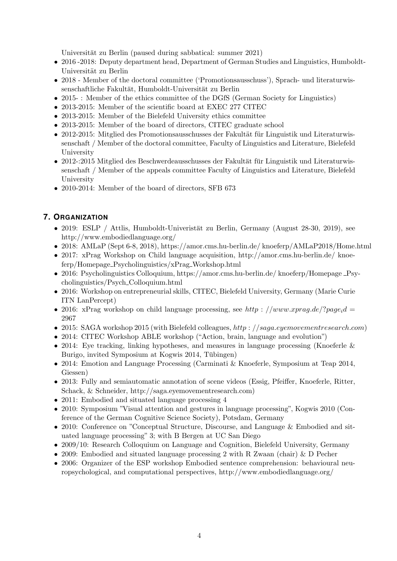Universität zu Berlin (paused during sabbatical: summer 2021)

- 2016 -2018: Deputy department head, Department of German Studies and Linguistics, Humboldt-Universität zu Berlin
- 2018 Member of the doctoral committee ('Promotionsausschuss'), Sprach- und literaturwissenschaftliche Fakultät, Humboldt-Universität zu Berlin
- 2015-: Member of the ethics committee of the DGfS (German Society for Linguistics)
- *•* 2013-2015: Member of the scientific board at EXEC 277 CITEC
- *•* 2013-2015: Member of the Bielefeld University ethics committee
- 2013-2015: Member of the board of directors, CITEC graduate school
- 2012-2015: Mitglied des Promotionsausschusses der Fakultät für Linguistik und Literaturwissenschaft / Member of the doctoral committee, Faculty of Linguistics and Literature, Bielefeld University
- 2012-:2015 Mitglied des Beschwerdeausschusses der Fakultät für Linguistik und Literaturwissenschaft / Member of the appeals committee Faculty of Linguistics and Literature, Bielefeld University
- 2010-2014: Member of the board of directors, SFB 673

## **7. ORGANIZATION**

- 2019: ESLP / Attlis, Humboldt-Univeristät zu Berlin, Germany (August 28-30, 2019), see http://www.embodiedlanguage.org/
- 2018: AMLaP (Sept 6-8, 2018), https://amor.cms.hu-berlin.de/ knoeferp/AMLaP2018/Home.html
- 2017: xPrag Workshop on Child language acquisition, http://amor.cms.hu-berlin.de/ knoeferp/Homepage Psycholinguistics/xPrag Workshop.html
- 2016: Psycholinguistics Colloquium, https://amor.cms.hu-berlin.de/ knoeferp/Homepage Psycholinguistics/Psych Colloquium.html
- *•* 2016: Workshop on entrepreneurial skills, CITEC, Bielefeld University, Germany (Marie Curie ITN LanPercept)
- 2016: xPrag workshop on child language processing, see *http* :  $//www.xyrag.de!/?page_i d =$ 2967
- *•* 2015: SAGA workshop 2015 (with Bielefeld colleagues, *http* : *//saga.eyemovementresearch.com*)
- 2014: CITEC Workshop ABLE workshop ("Action, brain, language and evolution")
- 2014: Eye tracking, linking hypotheses, and measures in language processing (Knoeferle & Burigo, invited Symposium at Kogwis 2014, Tübingen)
- 2014: Emotion and Language Processing (Carminati & Knoeferle, Symposium at Teap 2014, Giessen)
- 2013: Fully and semiautomatic annotation of scene videos (Essig, Pfeiffer, Knoeferle, Ritter, Schack, & Schneider, http://saga.eyemovementresearch.com)
- 2011: Embodied and situated language processing 4
- 2010: Symposium "Visual attention and gestures in language processing", Kogwis 2010 (Conference of the German Cognitive Science Society), Potsdam, Germany
- 2010: Conference on "Conceptual Structure, Discourse, and Language & Embodied and situated language processing" 3; with B Bergen at UC San Diego
- 2009/10: Research Colloquium on Language and Cognition, Bielefeld University, Germany
- *•* 2009: Embodied and situated language processing 2 with R Zwaan (chair) & D Pecher
- 2006: Organizer of the ESP workshop Embodied sentence comprehension: behavioural neuropsychological, and computational perspectives, http://www.embodiedlanguage.org/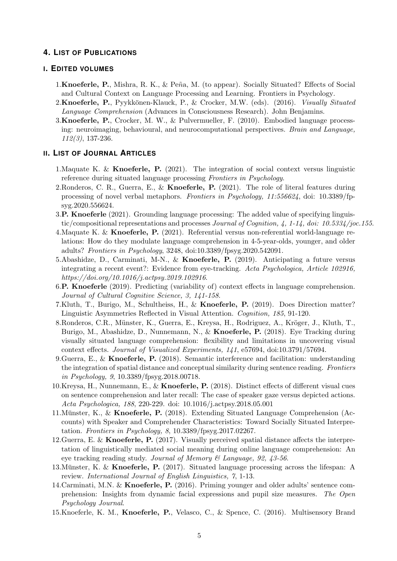## **4. LIST OF PUBLICATIONS**

#### **I. EDITED VOLUMES**

- 1. Knoeferle, P., Mishra, R. K., & Peña, M. (to appear). Socially Situated? Effects of Social and Cultural Context on Language Processing and Learning. Frontiers in Psychology.
- 2. **Knoeferle, P.**, Pyykkönen-Klauck, P., & Crocker, M.W. (eds). (2016). *Visually Situated Language Comprehension* (Advances in Consciousness Research). John Benjamins.
- 3.**Knoeferle, P.**, Crocker, M. W., & Pulvermueller, F. (2010). Embodied language processing: neuroimaging, behavioural, and neurocomputational perspectives. *Brain and Language, 112(3)*, 137-236.

#### **II. LIST OF JOURNAL ARTICLES**

- 1.Maquate K. & **Knoeferle, P.** (2021). The integration of social context versus linguistic reference during situated language processing *Frontiers in Psychology*.
- 2.Ronderos, C. R., Guerra, E., & **Knoeferle, P.** (2021). The role of literal features during processing of novel verbal metaphors. *Frontiers in Psychology, 11:556624*, doi: 10.3389/fpsyg.2020.556624.
- 3.**P. Knoeferle** (2021). Grounding language processing: The added value of specifying linguistic/compositional representations and processes *Journal of Cognition, 4, 1-14, doi: 10.5334/joc.155*.
- 4.Maquate K. & **Knoeferle, P.** (2021). Referential versus non-referential world-language relations: How do they modulate language comprehension in 4-5-year-olds, younger, and older adults? *Frontiers in Psychology*, 3248, doi:10.3389/fpsyg.2020.542091.
- 5.Abashidze, D., Carminati, M-N., & **Knoeferle, P.** (2019). Anticipating a future versus integrating a recent event?: Evidence from eye-tracking. *Acta Psychologica, Article 102916, https://doi.org/10.1016/j.actpsy.2019.102916*.
- 6.**P. Knoeferle** (2019). Predicting (variability of) context effects in language comprehension. *Journal of Cultural Cognitive Science, 3, 141-158*.
- 7.Kluth, T., Burigo, M., Schultheiss, H., & **Knoeferle, P.** (2019). Does Direction matter? Linguistic Asymmetries Reflected in Visual Attention. *Cognition, 185*, 91-120.
- 8.Ronderos, C.R., Münster, K., Guerra, E., Kreysa, H., Rodriguez, A., Kröger, J., Kluth, T., Burigo, M., Abashidze, D., Nunnemann, N., & **Knoeferle, P.** (2018). Eye Tracking during visually situated language comprehension: flexibility and limitations in uncovering visual context effects. *Journal of Visualized Experiments, 141*, e57694, doi:10.3791/57694.
- 9.Guerra, E., & **Knoeferle, P.** (2018). Semantic interference and facilitation: understanding the integration of spatial distance and conceptual similarity during sentence reading. *Frontiers in Psychology, 9*, 10.3389/fpsyg.2018.00718.
- 10.Kreysa, H., Nunnemann, E., & **Knoeferle, P.** (2018). Distinct effects of different visual cues on sentence comprehension and later recall: The case of speaker gaze versus depicted actions. *Acta Psychologica, 188*, 220-229. doi: 10.1016/j.actpsy.2018.05.001
- 11.Munster, K., & ¨ **Knoeferle, P.** (2018). Extending Situated Language Comprehension (Accounts) with Speaker and Comprehender Characteristics: Toward Socially Situated Interpretation. *Frontiers in Psychology, 8*, 10.3389/fpsyg.2017.02267.
- 12.Guerra, E. & **Knoeferle, P.** (2017). Visually perceived spatial distance affects the interpretation of linguistically mediated social meaning during online language comprehension: An eye tracking reading study. *Journal of Memory & Language, 92, 43-56*.
- 13. Münster, K. & **Knoeferle, P.** (2017). Situated language processing across the lifespan: A review. *International Journal of English Linguistics, 7*, 1-13.
- 14.Carminati, M.N. & **Knoeferle, P.** (2016). Priming younger and older adults' sentence comprehension: Insights from dynamic facial expressions and pupil size measures. *The Open Psychology Journal*.
- 15.Knoeferle, K. M., **Knoeferle, P.**, Velasco, C., & Spence, C. (2016). Multisensory Brand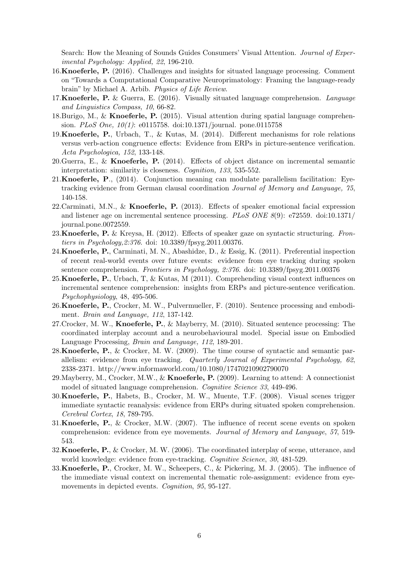Search: How the Meaning of Sounds Guides Consumers' Visual Attention. *Journal of Experimental Psychology: Applied, 22*, 196-210.

- 16.**Knoeferle, P.** (2016). Challenges and insights for situated language processing. Comment on "Towards a Computational Comparative Neuroprimatology: Framing the language-ready brain" by Michael A. Arbib. *Physics of Life Review*.
- 17.**Knoeferle, P.** & Guerra, E. (2016). Visually situated language comprehension. *Language and Linguistics Compass, 10*, 66-82.
- 18.Burigo, M., & **Knoeferle, P.** (2015). Visual attention during spatial language comprehension. *PLoS One, 10(1)*: e0115758. doi:10.1371/journal. pone.0115758
- 19.**Knoeferle, P.**, Urbach, T., & Kutas, M. (2014). Different mechanisms for role relations versus verb-action congruence effects: Evidence from ERPs in picture-sentence verification. *Acta Psychologica, 152*, 133-148.
- 20.Guerra, E., & **Knoeferle, P.** (2014). Effects of object distance on incremental semantic interpretation: similarity is closeness. *Cognition, 133*, 535-552.
- 21.**Knoeferle, P**., (2014). Conjunction meaning can modulate parallelism facilitation: Eyetracking evidence from German clausal coordination *Journal of Memory and Language, 75*, 140-158.
- 22.Carminati, M.N., & **Knoeferle, P.** (2013). Effects of speaker emotional facial expression and listener age on incremental sentence processing. *PLoS ONE 8*(9): e72559. doi:10.1371/ journal.pone.0072559.
- 23.**Knoeferle, P.** & Kreysa, H. (2012). Effects of speaker gaze on syntactic structuring. *Frontiers in Psychology,2:376*. doi: 10.3389/fpsyg.2011.00376.
- 24.**Knoeferle, P.**, Carminati, M. N., Abashidze, D., & Essig, K. (2011). Preferential inspection of recent real-world events over future events: evidence from eye tracking during spoken sentence comprehension. *Frontiers in Psychology, 2:376*. doi: 10.3389/fpsyg.2011.00376
- 25.**Knoeferle, P.**, Urbach, T, & Kutas, M (2011). Comprehending visual context influences on incremental sentence comprehension: insights from ERPs and picture-sentence verification. *Psychophysiology*, 48, 495-506.
- 26.**Knoeferle, P.**, Crocker, M. W., Pulvermueller, F. (2010). Sentence processing and embodiment. *Brain and Language, 112*, 137-142.
- 27.Crocker, M. W., **Knoeferle, P.**, & Mayberry, M. (2010). Situated sentence processing: The coordinated interplay account and a neurobehavioural model. Special issue on Embodied Language Processing, *Brain and Language, 112*, 189-201.
- 28.**Knoeferle, P.**, & Crocker, M. W. (2009). The time course of syntactic and semantic parallelism: evidence from eye tracking. *Quarterly Journal of Experimental Psychology, 62*, 2338-2371. http://www.informaworld.com/10.1080/17470210902790070
- 29.Mayberry, M., Crocker, M.W., & **Knoeferle, P.** (2009). Learning to attend: A connectionist model of situated language comprehension. *Cognitive Science 33*, 449-496.
- 30.**Knoeferle, P.**, Habets, B., Crocker, M. W., Muente, T.F. (2008). Visual scenes trigger immediate syntactic reanalysis: evidence from ERPs during situated spoken comprehension. *Cerebral Cortex*, *18*, 789-795.
- 31.**Knoeferle, P.**, & Crocker, M.W. (2007). The influence of recent scene events on spoken comprehension: evidence from eye movements. *Journal of Memory and Language*, *57*, 519- 543.
- 32.**Knoeferle, P.**, & Crocker, M. W. (2006). The coordinated interplay of scene, utterance, and world knowledge: evidence from eye-tracking. *Cognitive Science*, *30*, 481-529.
- 33.**Knoeferle, P.**, Crocker, M. W., Scheepers, C., & Pickering, M. J. (2005). The influence of the immediate visual context on incremental thematic role-assignment: evidence from eyemovements in depicted events. *Cognition*, *95*, 95-127.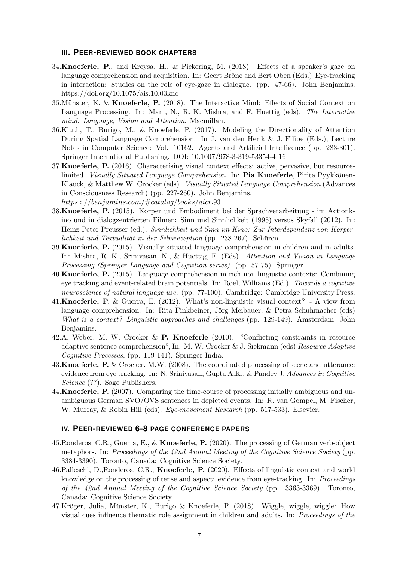#### **III. PEER-REVIEWED BOOK CHAPTERS**

- 34.**Knoeferle, P.**, and Kreysa, H., & Pickering, M. (2018). Effects of a speaker's gaze on language comprehension and acquisition. In: Geert Brône and Bert Oben (Eds.) Eye-tracking in interaction: Studies on the role of eye-gaze in dialogue. (pp. 47-66). John Benjamins. https://doi.org/10.1075/ais.10.03kno
- 35. Münster, K. & **Knoeferle, P.** (2018). The Interactive Mind: Effects of Social Context on Language Processing. In: Mani, N., R. K. Mishra, and F. Huettig (eds). *The Interactive mind: Language, Vision and Attention*. Macmillan.
- 36.Kluth, T., Burigo, M., & Knoeferle, P. (2017). Modeling the Directionality of Attention During Spatial Language Comprehension. In J. van den Herik & J. Filipe (Eds.), Lecture Notes in Computer Science: Vol. 10162. Agents and Artificial Intelligence (pp. 283-301). Springer International Publishing. DOI: 10.1007/978-3-319-53354-4 16
- 37.**Knoeferle, P.** (2016). Characterising visual context effects: active, pervasive, but resourcelimited. *Visually Situated Language Comprehension*. In: **Pia Knoeferle**, Pirita Pyykkönen-Klauck, & Matthew W. Crocker (eds). *Visually Situated Language Comprehension* (Advances in Consciousness Research) (pp. 227-260). John Benjamins. *https* : *//benjamins.com/*#*catalog/books/aicr.*93
- 38.**Knoeferle, P.** (2015). Körper und Embodiment bei der Sprachverarbeitung im Actionkino und in dialogzentrierten Filmen: Sinn und Sinnlichkeit (1995) versus Skyfall (2012). In: Heinz-Peter Preusser (ed.). *Sinnlichkeit und Sinn im Kino: Zur Interdependenz von Körperlichkeit und Textualität in der Filmrezeption* (pp. 238-267). Schüren.
- 39.**Knoeferle, P.** (2015). Visually situated language comprehension in children and in adults. In: Mishra, R. K., Srinivasan, N., & Huettig, F. (Eds). *Attention and Vision in Language Processing (Springer Language and Cognition series).* (pp. 57-75). Springer.
- 40.**Knoeferle, P.** (2015). Language comprehension in rich non-linguistic contexts: Combining eye tracking and event-related brain potentials. In: Roel, Williams (Ed.). *Towards a cognitive neuroscience of natural language use.* (pp. 77-100). Cambridge: Cambridge University Press.
- 41.**Knoeferle, P.** & Guerra, E. (2012). What's non-linguistic visual context? A view from language comprehension. In: Rita Finkbeiner, Jörg Meibauer, & Petra Schuhmacher (eds) *What is a context? Linguistic approaches and challenges* (pp. 129-149). Amsterdam: John Benjamins.
- 42.A. Weber, M. W. Crocker & **P. Knoeferle** (2010). "Conflicting constraints in resource adaptive sentence comprehension", In: M. W. Crocker & J. Siekmann (eds) *Resource Adaptive Cognitive Processes*, (pp. 119-141). Springer India.
- 43.**Knoeferle, P.** & Crocker, M.W. (2008). The coordinated processing of scene and utterance: evidence from eye tracking. In: N. Srinivasan, Gupta A.K., & Pandey J. *Advances in Cognitive Science* (??). Sage Publishers.
- 44.**Knoeferle, P.** (2007). Comparing the time-course of processing initially ambiguous and unambiguous German SVO/OVS sentences in depicted events. In: R. van Gompel, M. Fischer, W. Murray, & Robin Hill (eds). *Eye-movement Research* (pp. 517-533). Elsevier.

### **IV. PEER-REVIEWED 6-8 PAGE CONFERENCE PAPERS**

- 45.Ronderos, C.R., Guerra, E., & **Knoeferle, P.** (2020). The processing of German verb-object metaphors. In: *Proceedings of the 42nd Annual Meeting of the Cognitive Science Society* (pp. 3384-3390). Toronto, Canada: Cognitive Science Society.
- 46.Palleschi, D.,Ronderos, C.R., **Knoeferle, P.** (2020). Effects of linguistic context and world knowledge on the processing of tense and aspect: evidence from eye-tracking. In: *Proceedings of the 42nd Annual Meeting of the Cognitive Science Society* (pp. 3363-3369). Toronto, Canada: Cognitive Science Society.
- $47.\mathrm{Kröger}$ , Julia, Münster, K., Burigo & Knoeferle, P. (2018). Wiggle, wiggle, wiggle: How visual cues influence thematic role assignment in children and adults. In: *Proceedings of the*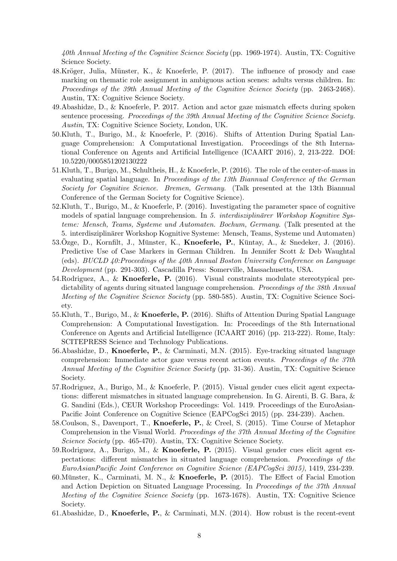*40th Annual Meeting of the Cognitive Science Society* (pp. 1969-1974). Austin, TX: Cognitive Science Society.

- 48.Kröger, Julia, Münster, K., & Knoeferle, P.  $(2017)$ . The influence of prosody and case marking on thematic role assignment in ambiguous action scenes: adults versus children. In: *Proceedings of the 39th Annual Meeting of the Cognitive Science Society* (pp. 2463-2468). Austin, TX: Cognitive Science Society.
- 49.Abashidze, D., & Knoeferle, P. 2017. Action and actor gaze mismatch effects during spoken sentence processing. *Proceedings of the 39th Annual Meeting of the Cognitive Science Society. Austin*, TX: Cognitive Science Society, London, UK.
- 50.Kluth, T., Burigo, M., & Knoeferle, P. (2016). Shifts of Attention During Spatial Language Comprehension: A Computational Investigation. Proceedings of the 8th International Conference on Agents and Artificial Intelligence (ICAART 2016), 2, 213-222. DOI: 10.5220/0005851202130222
- 51.Kluth, T., Burigo, M., Schultheis, H., & Knoeferle, P. (2016). The role of the center-of-mass in evaluating spatial language. In *Proceedings of the 13th Biannual Conference of the German Society for Cognitive Science. Bremen, Germany*. (Talk presented at the 13th Biannual Conference of the German Society for Cognitive Science).
- 52.Kluth, T., Burigo, M., & Knoeferle, P. (2016). Investigating the parameter space of cognitive models of spatial language comprehension. In 5. *interdisziplinärer Workshop Kognitive Systeme: Mensch, Teams, Systeme und Automaten. Bochum, Germany*. (Talk presented at the 5. interdisziplinärer Workshop Kognitive Systeme: Mensch, Teams, Systeme und Automaten)
- 53.Ozge, D., Kornfilt, J., Münster, K., **Knoeferle, P.**, Küntay, A., & Snedeker, J. (2016). Predictive Use of Case Markers in German Children. In Jennifer Scott & Deb Waughtal (eds). *BUCLD 40:Proceedings of the 40th Annual Boston University Conference on Language Development* (pp. 291-303). Cascadilla Press: Somerville, Massachusetts, USA.
- 54.Rodriguez, A., & **Knoeferle, P.** (2016). Visual constraints modulate stereotypical predictability of agents during situated language comprehension. *Proceedings of the 38th Annual Meeting of the Cognitive Science Society* (pp. 580-585). Austin, TX: Cognitive Science Society.
- 55.Kluth, T., Burigo, M., & **Knoeferle, P.** (2016). Shifts of Attention During Spatial Language Comprehension: A Computational Investigation. In: Proceedings of the 8th International Conference on Agents and Artificial Intelligence (ICAART 2016) (pp. 213-222). Rome, Italy: SCITEPRESS Science and Technology Publications.
- 56.Abashidze, D., **Knoeferle, P.**, & Carminati, M.N. (2015). Eye-tracking situated language comprehension: Immediate actor gaze versus recent action events. *Proceedings of the 37th Annual Meeting of the Cognitive Science Society* (pp. 31-36). Austin, TX: Cognitive Science Society.
- 57.Rodriguez, A., Burigo, M., & Knoeferle, P. (2015). Visual gender cues elicit agent expectations: different mismatches in situated language comprehension. In G. Airenti, B. G. Bara, & G. Sandini (Eds.), CEUR Workshop Proceedings: Vol. 1419. Proceedings of the EuroAsian-Pacific Joint Conference on Cognitive Science (EAPCogSci 2015) (pp. 234-239). Aachen.
- 58.Coulson, S., Davenport, T., **Knoeferle, P.**, & Creel, S. (2015). Time Course of Metaphor Comprehension in the Visual World. *Proceedings of the 37th Annual Meeting of the Cognitive Science Society* (pp. 465-470). Austin, TX: Cognitive Science Society.
- 59.Rodriguez, A., Burigo, M., & **Knoeferle, P.** (2015). Visual gender cues elicit agent expectations: different mismatches in situated language comprehension. *Proceedings of the EuroAsianPacific Joint Conference on Cognitive Science (EAPCogSci 2015)*, 1419, 234-239.
- 60. Münster, K., Carminati, M. N., & **Knoeferle, P.** (2015). The Effect of Facial Emotion and Action Depiction on Situated Language Processing. In *Proceedings of the 37th Annual Meeting of the Cognitive Science Society* (pp. 1673-1678). Austin, TX: Cognitive Science Society.
- 61.Abashidze, D., **Knoeferle, P.**, & Carminati, M.N. (2014). How robust is the recent-event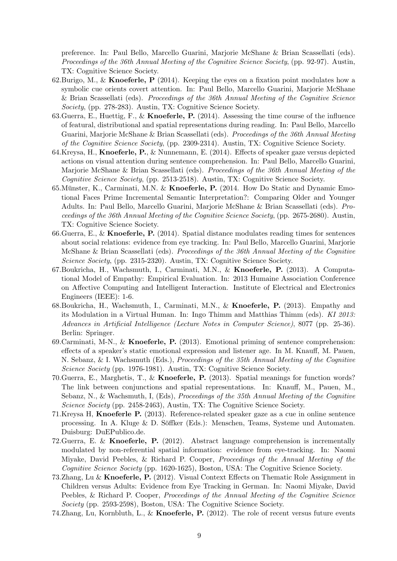preference. In: Paul Bello, Marcello Guarini, Marjorie McShane & Brian Scassellati (eds). *Proceedings of the 36th Annual Meeting of the Cognitive Science Society*, (pp. 92-97). Austin, TX: Cognitive Science Society.

- 62.Burigo, M., & **Knoeferle, P** (2014). Keeping the eyes on a fixation point modulates how a symbolic cue orients covert attention. In: Paul Bello, Marcello Guarini, Marjorie McShane & Brian Scassellati (eds). *Proceedings of the 36th Annual Meeting of the Cognitive Science Society*, (pp. 278-283). Austin, TX: Cognitive Science Society.
- 63.Guerra, E., Huettig, F., & **Knoeferle, P.** (2014). Assessing the time course of the influence of featural, distributional and spatial representations during reading. In: Paul Bello, Marcello Guarini, Marjorie McShane & Brian Scassellati (eds). *Proceedings of the 36th Annual Meeting of the Cognitive Science Society*, (pp. 2309-2314). Austin, TX: Cognitive Science Society.
- 64.Kreysa, H., **Knoeferle, P.**, & Nunnemann, E. (2014). Effects of speaker gaze versus depicted actions on visual attention during sentence comprehension. In: Paul Bello, Marcello Guarini, Marjorie McShane & Brian Scassellati (eds). *Proceedings of the 36th Annual Meeting of the Cognitive Science Society*, (pp. 2513-2518). Austin, TX: Cognitive Science Society.
- 65. Münster, K., Carminati, M.N. & **Knoeferle, P.** (2014. How Do Static and Dynamic Emotional Faces Prime Incremental Semantic Interpretation?: Comparing Older and Younger Adults. In: Paul Bello, Marcello Guarini, Marjorie McShane & Brian Scassellati (eds). *Proceedings of the 36th Annual Meeting of the Cognitive Science Society*, (pp. 2675-2680). Austin, TX: Cognitive Science Society.
- 66.Guerra, E., & **Knoeferle, P.** (2014). Spatial distance modulates reading times for sentences about social relations: evidence from eye tracking. In: Paul Bello, Marcello Guarini, Marjorie McShane & Brian Scassellati (eds). *Proceedings of the 36th Annual Meeting of the Cognitive Science Society*, (pp. 2315-2320). Austin, TX: Cognitive Science Society.
- 67.Boukricha, H., Wachsmuth, I., Carminati, M.N., & **Knoeferle, P.** (2013). A Computational Model of Empathy: Empirical Evaluation. In: 2013 Humaine Association Conference on Affective Computing and Intelligent Interaction. Institute of Electrical and Electronics Engineers (IEEE): 1-6.
- 68.Boukricha, H., Wachsmuth, I., Carminati, M.N., & **Knoeferle, P.** (2013). Empathy and its Modulation in a Virtual Human. In: Ingo Thimm and Matthias Thimm (eds). *KI 2013: Advances in Artificial Intelligence (Lecture Notes in Computer Science)*, 8077 (pp. 25-36). Berlin: Springer.
- 69.Carminati, M-N., & **Knoeferle, P.** (2013). Emotional priming of sentence comprehension: effects of a speaker's static emotional expression and listener age. In M. Knauff, M. Pauen, N. Sebanz, & I. Wachsmuth (Eds.), *Proceedings of the 35th Annual Meeting of the Cognitive Science Society* (pp. 1976-1981). Austin, TX: Cognitive Science Society.
- 70.Guerra, E., Marghetis, T., & **Knoeferle, P.** (2013). Spatial meanings for function words? The link between conjunctions and spatial representations. In: Knauff, M., Pauen, M., Sebanz, N., & Wachsmuth, I, (Eds), *Proceedings of the 35th Annual Meeting of the Cognitive Science Society* (pp. 2458-2463), Austin, TX: The Cognitive Science Society.
- 71.Kreysa H, **Knoeferle P.** (2013). Reference-related speaker gaze as a cue in online sentence processing. In A. Kluge  $&$  D. Söffker (Eds.): Menschen, Teams, Systeme und Automaten. Duisburg: DuEPublico.de.
- 72.Guerra, E. & **Knoeferle, P.** (2012). Abstract language comprehension is incrementally modulated by non-referential spatial information: evidence from eye-tracking. In: Naomi Miyake, David Peebles, & Richard P. Cooper, *Proceedings of the Annual Meeting of the Cognitive Science Society* (pp. 1620-1625), Boston, USA: The Cognitive Science Society.
- 73.Zhang, Lu & **Knoeferle, P.** (2012). Visual Context Effects on Thematic Role Assignment in Children versus Adults: Evidence from Eye Tracking in German. In: Naomi Miyake, David Peebles, & Richard P. Cooper, *Proceedings of the Annual Meeting of the Cognitive Science Society* (pp. 2593-2598), Boston, USA: The Cognitive Science Society.
- 74.Zhang, Lu, Kornbluth, L., & **Knoeferle, P.** (2012). The role of recent versus future events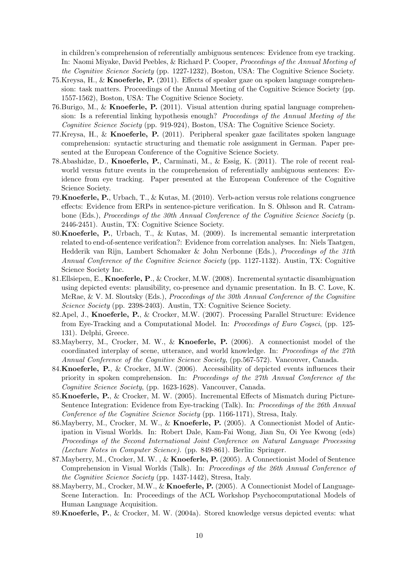in children's comprehension of referentially ambiguous sentences: Evidence from eye tracking. In: Naomi Miyake, David Peebles, & Richard P. Cooper, *Proceedings of the Annual Meeting of the Cognitive Science Society* (pp. 1227-1232), Boston, USA: The Cognitive Science Society.

- 75.Kreysa, H., & **Knoeferle, P.** (2011). Effects of speaker gaze on spoken language comprehension: task matters. Proceedings of the Annual Meeting of the Cognitive Science Society (pp. 1557-1562), Boston, USA: The Cognitive Science Society.
- 76.Burigo, M., & **Knoeferle, P.** (2011). Visual attention during spatial language comprehension: Is a referential linking hypothesis enough? *Proceedings of the Annual Meeting of the Cognitive Science Society* (pp. 919-924), Boston, USA: The Cognitive Science Society.
- 77.Kreysa, H., & **Knoeferle, P.** (2011). Peripheral speaker gaze facilitates spoken language comprehension: syntactic structuring and thematic role assignment in German. Paper presented at the European Conference of the Cognitive Science Society.
- 78.Abashidze, D., **Knoeferle, P.**, Carminati, M., & Essig, K. (2011). The role of recent realworld versus future events in the comprehension of referentially ambiguous sentences: Evidence from eye tracking. Paper presented at the European Conference of the Cognitive Science Society.
- 79.**Knoeferle, P.**, Urbach, T., & Kutas, M. (2010). Verb-action versus role relations congruence effects: Evidence from ERPs in sentence-picture verification. In S. Ohlsson and R. Catrambone (Eds.), *Proceedings of the 30th Annual Conference of the Cognitive Science Society* (p. 2446-2451). Austin, TX: Cognitive Science Society.
- 80.**Knoeferle, P.**, Urbach, T., & Kutas, M. (2009). Is incremental semantic interpretation related to end-of-sentence verifcation?: Evidence from correlation analyses. In: Niels Taatgen, Hedderik van Rijn, Lambert Schomaker & John Nerbonne (Eds.), *Proceedings of the 31th Annual Conference of the Cognitive Science Society* (pp. 1127-1132). Austin, TX: Cognitive Science Society Inc.
- 81.Ellsiepen, E., **Knoeferle, P**., & Crocker, M.W. (2008). Incremental syntactic disambiguation using depicted events: plausibility, co-presence and dynamic presentation. In B. C. Love, K. McRae, & V. M. Sloutsky (Eds.), *Proceedings of the 30th Annual Conference of the Cognitive Science Society* (pp. 2398-2403). Austin, TX: Cognitive Science Society.
- 82.Apel, J., **Knoeferle, P.**, & Crocker, M.W. (2007). Processing Parallel Structure: Evidence from Eye-Tracking and a Computational Model. In: *Proceedings of Euro Cogsci*, (pp. 125- 131). Delphi, Greece.
- 83.Mayberry, M., Crocker, M. W., & **Knoeferle, P.** (2006). A connectionist model of the coordinated interplay of scene, utterance, and world knowledge. In: *Proceedings of the 27th Annual Conference of the Cognitive Science Society*, (pp.567-572). Vancouver, Canada.
- 84.**Knoeferle, P.**, & Crocker, M.W. (2006). Accessibility of depicted events influences their priority in spoken comprehension. In: *Proceedings of the 27th Annual Conference of the Cognitive Science Society*, (pp. 1623-1628). Vancouver, Canada.
- 85.**Knoeferle, P.**, & Crocker, M. W. (2005). Incremental Effects of Mismatch during Picture-Sentence Integration: Evidence from Eye-tracking (Talk). In: *Proceedings of the 26th Annual Conference of the Cognitive Science Society* (pp. 1166-1171), Stresa, Italy.
- 86.Mayberry, M., Crocker, M. W., & **Knoeferle, P.** (2005). A Connectionist Model of Anticipation in Visual Worlds. In: Robert Dale, Kam-Fai Wong, Jian Su, Oi Yee Kwong (eds) *Proceedings of the Second International Joint Conference on Natural Language Processing (Lecture Notes in Computer Science)*. (pp. 849-861). Berlin: Springer.
- 87.Mayberry, M., Crocker, M. W. , & **Knoeferle, P.** (2005). A Connectionist Model of Sentence Comprehension in Visual Worlds (Talk). In: *Proceedings of the 26th Annual Conference of the Cognitive Science Society* (pp. 1437-1442), Stresa, Italy.
- 88.Mayberry, M., Crocker, M.W., & **Knoeferle, P.** (2005). A Connectionist Model of Language-Scene Interaction. In: Proceedings of the ACL Workshop Psychocomputational Models of Human Language Acquisition.
- 89.**Knoeferle, P.**, & Crocker, M. W. (2004a). Stored knowledge versus depicted events: what